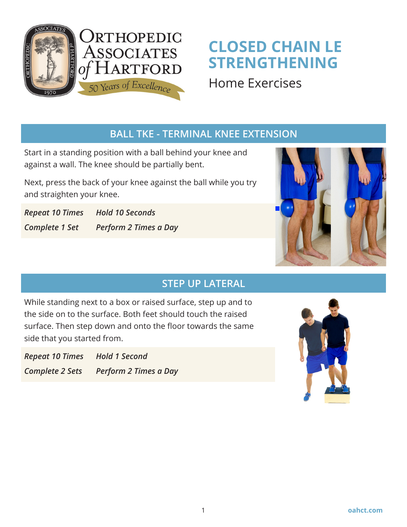

## **CLOSED CHAIN LE STRENGTHENING**

Home Exercises

#### **BALL TKE - TERMINAL KNEE EXTENSION**

Start in a standing position with a ball behind your knee and against a wall. The knee should be partially bent.

Next, press the back of your knee against the ball while you try and straighten your knee.

*Repeat 10 Times Hold 10 Seconds Complete 1 Set Perform 2 Times a Day*



#### **STEP UP LATERAL**

While standing next to a box or raised surface, step up and to the side on to the surface. Both feet should touch the raised surface. Then step down and onto the floor towards the same side that you started from.

*Repeat 10 Times Hold 1 Second Complete 2 Sets Perform 2 Times a Day*

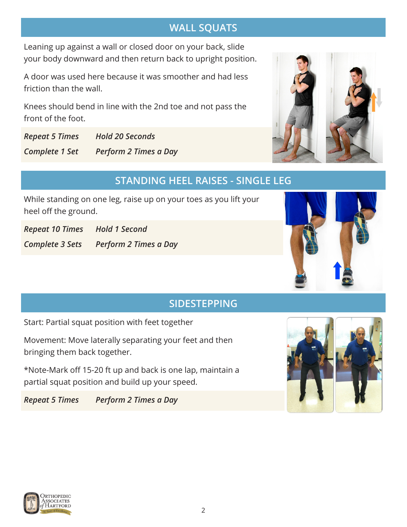# 2



#### Leaning up against a wall or closed door on your back, slide your body downward and then return back to upright position.

A door was used here because it was smoother and had less friction than the wall.

Knees should bend in line with the 2nd toe and not pass the front of the foot.

*Repeat 5 Times Hold 20 Seconds Complete 1 Set Perform 2 Times a Day*

#### **STANDING HEEL RAISES - SINGLE LEG**

**WALL SQUATS**

While standing on one leg, raise up on your toes as you lift your heel off the ground.

*Repeat 10 Times Hold 1 Second*

*Complete 3 Sets Perform 2 Times a Day*



#### **SIDESTEPPING**

Start: Partial squat position with feet together

Movement: Move laterally separating your feet and then bringing them back together.

\*Note-Mark off 15-20 ft up and back is one lap, maintain a partial squat position and build up your speed.

*Repeat 5 Times Perform 2 Times a Day*



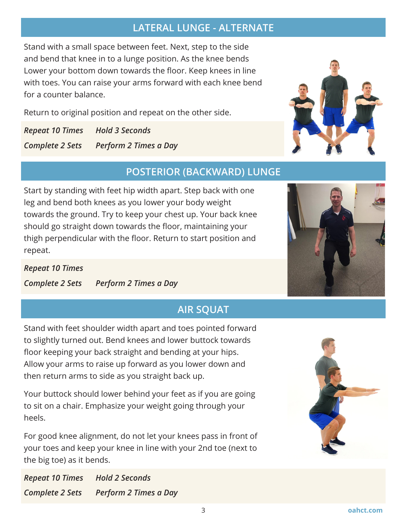#### **LATERAL LUNGE - ALTERNATE**

Stand with a small space between feet. Next, step to the side and bend that knee in to a lunge position. As the knee bends Lower your bottom down towards the floor. Keep knees in line with toes. You can raise your arms forward with each knee bend for a counter balance.

Return to original position and repeat on the other side.

*Repeat 10 Times Hold 3 Seconds Complete 2 Sets Perform 2 Times a Day*

#### **POSTERIOR (BACKWARD) LUNGE**

Start by standing with feet hip width apart. Step back with one leg and bend both knees as you lower your body weight towards the ground. Try to keep your chest up. Your back knee should go straight down towards the floor, maintaining your thigh perpendicular with the floor. Return to start position and repeat.

*Repeat 10 Times Complete 2 Sets Perform 2 Times a Day*

#### **AIR SQUAT**

Stand with feet shoulder width apart and toes pointed forward to slightly turned out. Bend knees and lower buttock towards floor keeping your back straight and bending at your hips. Allow your arms to raise up forward as you lower down and then return arms to side as you straight back up.

Your buttock should lower behind your feet as if you are going to sit on a chair. Emphasize your weight going through your heels.

For good knee alignment, do not let your knees pass in front of your toes and keep your knee in line with your 2nd toe (next to the big toe) as it bends.

*Repeat 10 Times Hold 2 Seconds Complete 2 Sets Perform 2 Times a Day*